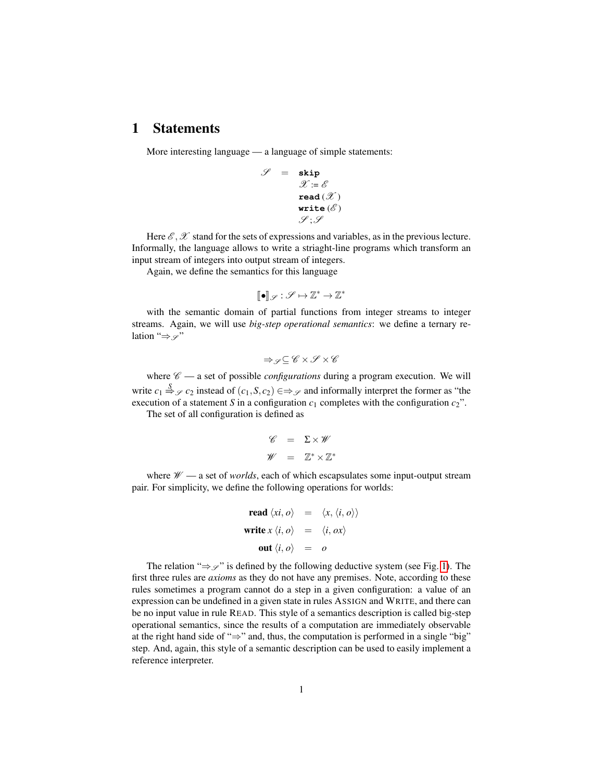## 1 Statements

More interesting language — a language of simple statements:

S = **skip**

$$
= \text{ skip} \ \mathcal{X} := \mathcal{E} \ \text{read} \, (\mathcal{X}) \ \text{write} \, (\mathcal{E}) \ \mathcal{Y}; \mathcal{Y}
$$

Here  $\mathscr{E}, \mathscr{X}$  stand for the sets of expressions and variables, as in the previous lecture. Informally, the language allows to write a striaght-line programs which transform an input stream of integers into output stream of integers.

Again, we define the semantics for this language

$$
[\![\bullet]\!]_{\mathscr{S}}:\mathscr{S}\mapsto\mathbb{Z}^*\rightarrow\mathbb{Z}^*
$$

with the semantic domain of partial functions from integer streams to integer streams. Again, we will use *big-step operational semantics*: we define a ternary relation " $\Rightarrow \varphi$ "

$$
\Rightarrow_{\mathscr{S}} \subseteq \mathscr{C} \times \mathscr{S} \times \mathscr{C}
$$

where  $\mathscr{C}$  — a set of possible *configurations* during a program execution. We will write  $c_1 \stackrel{S}{\Rightarrow}_{\mathcal{S}} c_2$  instead of  $(c_1, S, c_2) \in \Rightarrow_{\mathcal{S}}$  and informally interpret the former as "the execution of a statement *S* in a configuration  $c_1$  completes with the configuration  $c_2$ ".

The set of all configuration is defined as

$$
\begin{array}{rcl}\n\mathscr{C} &=& \Sigma \times \mathscr{W} \\
\mathscr{W} &=& \mathbb{Z}^* \times \mathbb{Z}^*\n\end{array}
$$

where  $W \rightarrow a$  set of *worlds*, each of which escapsulates some input-output stream pair. For simplicity, we define the following operations for worlds:

read 
$$
\langle xi, o \rangle
$$
 =  $\langle x, \langle i, o \rangle \rangle$   
write  $x \langle i, o \rangle$  =  $\langle i, ox \rangle$   
out  $\langle i, o \rangle$  = o

The relation " $\Rightarrow \mathcal{S}$ " is defined by the following deductive system (see Fig. [1\)](#page-1-0). The first three rules are *axioms* as they do not have any premises. Note, according to these rules sometimes a program cannot do a step in a given configuration: a value of an expression can be undefined in a given state in rules ASSIGN and WRITE, and there can be no input value in rule READ. This style of a semantics description is called big-step operational semantics, since the results of a computation are immediately observable at the right hand side of "⇒" and, thus, the computation is performed in a single "big" step. And, again, this style of a semantic description can be used to easily implement a reference interpreter.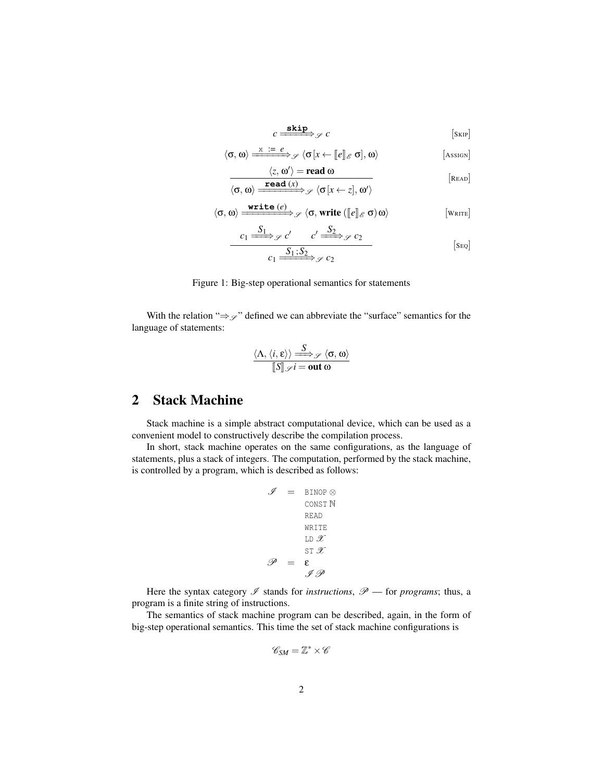$c \xrightarrow{\textbf{skip}} c$  [SKIP]

<span id="page-1-0"></span>
$$
\langle \sigma, \omega \rangle \xrightarrow{\mathbf{x} \ \mathbf{:=}\ e} \mathcal{S} \langle \sigma[x \leftarrow [\![e]\!]_{\mathscr{E}} \sigma], \omega \rangle \tag{Asson}
$$

$$
\langle z, \omega' \rangle = \text{read } \omega
$$

$$
\langle \sigma, \omega \rangle \xrightarrow{\text{read } (x)} \mathcal{S} \langle \sigma[x \leftarrow z], \omega' \rangle
$$
 [Reab]

$$
\langle \sigma, \omega \rangle \xrightarrow{\text{write } (e)} \mathscr{S} \langle \sigma, \text{write } (\llbracket e \rrbracket_{\mathscr{E}} \sigma) \omega \rangle \qquad \qquad [\text{write}]
$$

$$
c_1 \xrightarrow{S_1} \mathcal{S} \downarrow c' \xrightarrow{c'} \mathcal{L} \xrightarrow{S_2} \mathcal{S} \downarrow c_2
$$
\n
$$
c_1 \xrightarrow{S_1; S_2} \mathcal{S} \downarrow c_2
$$
\n[Seq]

## Figure 1: Big-step operational semantics for statements

With the relation " $\Rightarrow \varphi$ " defined we can abbreviate the "surface" semantics for the language of statements:

$$
\frac{\langle \Lambda, \langle i, \varepsilon \rangle \rangle \xrightarrow{S} \mathscr{S} \langle \sigma, \omega \rangle}{\llbracket S \rrbracket \mathscr{S} i = \text{out } \omega}
$$

## 2 Stack Machine

Stack machine is a simple abstract computational device, which can be used as a convenient model to constructively describe the compilation process.

In short, stack machine operates on the same configurations, as the language of statements, plus a stack of integers. The computation, performed by the stack machine, is controlled by a program, which is described as follows:

$$
\mathcal{J} = \text{BINDP} \otimes
$$
  
 
$$
\text{CONST N} \qquad \text{READ} \qquad \text{WRITE}
$$
  
 
$$
\text{L} \mathbf{D} \mathcal{X} \qquad \text{ST } \mathcal{X}
$$
  
 
$$
\mathcal{P} = \mathbf{\varepsilon}
$$
  
 
$$
\mathcal{J} \mathcal{P}
$$

Here the syntax category  $\mathscr I$  stands for *instructions*,  $\mathscr P$  — for *programs*; thus, a program is a finite string of instructions.

The semantics of stack machine program can be described, again, in the form of big-step operational semantics. This time the set of stack machine configurations is

$$
\mathscr{C}_{SM}=\mathbb{Z}^*\times\mathscr{C}
$$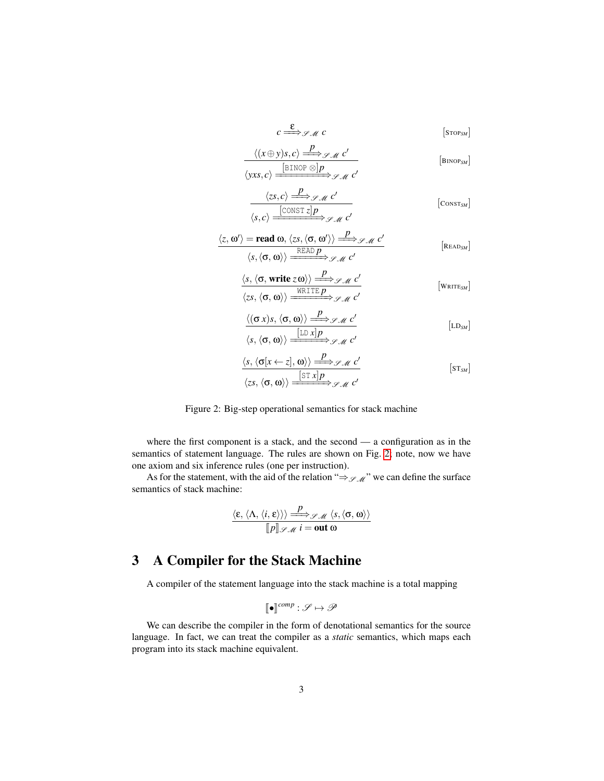$$
c \stackrel{\mathbf{E}}{\Longrightarrow} \mathcal{A} \mathcal{M} \mathcal{C} \qquad \qquad \text{[Stop}_{SM]}
$$

<span id="page-2-0"></span>
$$
\frac{\langle (x \oplus y)s, c \rangle \xrightarrow{P} \mathcal{S} \mathcal{M} \mathcal{C}'}{\langle yxs, c \rangle \xrightarrow{[BINOP \otimes]p} \mathcal{S} \mathcal{M} \mathcal{C}'} \qquad [\text{BINDP}_{SM}]
$$

$$
\frac{\langle zs, c \rangle \stackrel{P}{\Longrightarrow} \mathcal{I} \mathcal{M} \mathcal{C}'}{\langle s, c \rangle \stackrel{\text{[CONST z]}P}{\Longrightarrow} \mathcal{I} \mathcal{M} \mathcal{C}'} \qquad \qquad [\text{Constr}_{\mathcal{M}}]
$$

$$
\langle z, \omega' \rangle = \text{read } \omega, \langle zs, \langle \sigma, \omega' \rangle \rangle \xrightarrow{P} \mathcal{S} \mathcal{M} \mathcal{C}'
$$
\n
$$
\langle s, \langle \sigma, \omega \rangle \rangle \xrightarrow{\text{READ } p} \mathcal{S} \mathcal{M} \mathcal{C}'
$$
\n
$$
\langle s, \langle \sigma, \text{write } z \omega \rangle \rangle \xrightarrow{\text{WRTTE } p} \mathcal{S} \mathcal{M} \mathcal{C}'
$$
\n
$$
\langle zs, \langle \sigma, \omega \rangle \rangle \xrightarrow{\text{WRTTE } p} \mathcal{S} \mathcal{M} \mathcal{C}'
$$
\n
$$
\langle (\sigma x)s, \langle \sigma, \omega \rangle \rangle \xrightarrow{\text{LDA } p} \mathcal{S} \mathcal{M} \mathcal{C}'
$$
\n
$$
\langle s, \langle \sigma, \omega \rangle \rangle \xrightarrow{\text{LDA } p} \mathcal{S} \mathcal{M} \mathcal{C}'
$$
\n
$$
\langle L D_{SM} \rangle
$$

$$
\frac{\langle s, \langle \sigma[x \leftarrow z], \omega \rangle \rangle \xrightarrow{P} \mathscr{S}_{\mathcal{M}} c'}{\langle zs, \langle \sigma, \omega \rangle \rangle \xrightarrow{\text{[ST } x | p} \mathscr{S}_{\mathcal{M}} c'} \qquad [\text{sr}_{\mathcal{M}}]
$$

Figure 2: Big-step operational semantics for stack machine

where the first component is a stack, and the second — a configuration as in the semantics of statement language. The rules are shown on Fig. [2;](#page-2-0) note, now we have one axiom and six inference rules (one per instruction).

As for the statement, with the aid of the relation " $\Rightarrow$   $\mathscr{S}_{\mathscr{M}}$ " we can define the surface semantics of stack machine:

$$
\frac{\langle \varepsilon, \langle \Lambda, \langle i, \varepsilon \rangle \rangle \rangle \xrightarrow{P} \mathscr{S}_{\mathscr{M}} \langle s, \langle \sigma, \omega \rangle \rangle}{[\![p]\!]_{\mathscr{S}_{\mathscr{M}}} i = \text{out } \omega}
$$

## 3 A Compiler for the Stack Machine

A compiler of the statement language into the stack machine is a total mapping

$$
[\![\bullet]\!]^{comp} : \mathscr{S} \mapsto \mathscr{P}
$$

We can describe the compiler in the form of denotational semantics for the source language. In fact, we can treat the compiler as a *static* semantics, which maps each program into its stack machine equivalent.